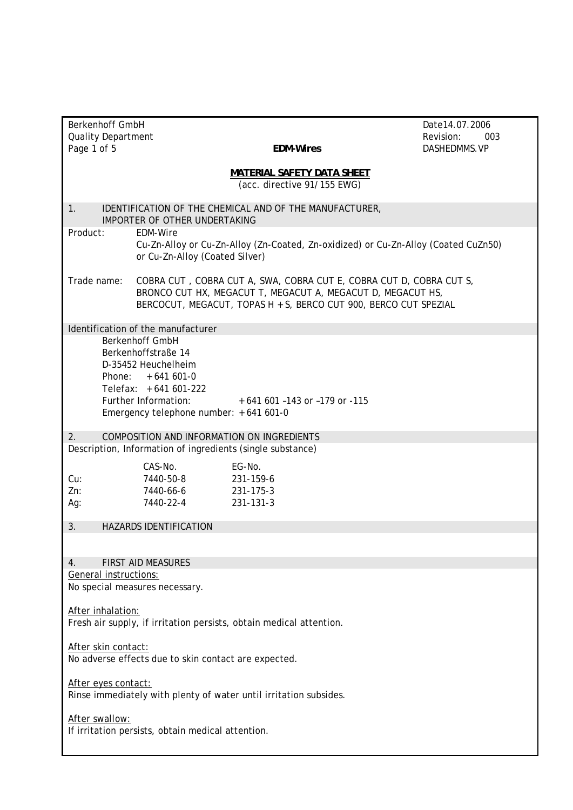|                                                                                                                         | <b>Berkenhoff GmbH</b><br>Date 14.07.2006                                                |                                                                                                                                                                                                        |                                  |  |  |
|-------------------------------------------------------------------------------------------------------------------------|------------------------------------------------------------------------------------------|--------------------------------------------------------------------------------------------------------------------------------------------------------------------------------------------------------|----------------------------------|--|--|
| <b>Quality Department</b><br>Page 1 of 5                                                                                |                                                                                          | <b>EDM-Wires</b>                                                                                                                                                                                       | Revision:<br>003<br>DASHEDMMS.VP |  |  |
|                                                                                                                         |                                                                                          |                                                                                                                                                                                                        |                                  |  |  |
|                                                                                                                         | <b>MATERIAL SAFETY DATA SHEET</b><br>(acc. directive 91/155 EWG)                         |                                                                                                                                                                                                        |                                  |  |  |
| 1.                                                                                                                      | IDENTIFICATION OF THE CHEMICAL AND OF THE MANUFACTURER.<br>IMPORTER OF OTHER UNDERTAKING |                                                                                                                                                                                                        |                                  |  |  |
| Product:                                                                                                                | <b>EDM-Wire</b><br>or Cu-Zn-Alloy (Coated Silver)                                        | Cu-Zn-Alloy or Cu-Zn-Alloy (Zn-Coated, Zn-oxidized) or Cu-Zn-Alloy (Coated CuZn50)                                                                                                                     |                                  |  |  |
| Trade name:                                                                                                             |                                                                                          | COBRA CUT, COBRA CUT A, SWA, COBRA CUT E, COBRA CUT D, COBRA CUT S,<br>BRONCO CUT HX, MEGACUT T, MEGACUT A, MEGACUT D, MEGACUT HS,<br>BERCOCUT, MEGACUT, TOPAS H + S, BERCO CUT 900, BERCO CUT SPEZIAL |                                  |  |  |
|                                                                                                                         | Identification of the manufacturer                                                       |                                                                                                                                                                                                        |                                  |  |  |
| <b>Berkenhoff GmbH</b><br>Berkenhoffstraße 14<br>D-35452 Heuchelheim<br>Phone:<br>$+641601-0$<br>Telefax: $+641601-222$ |                                                                                          |                                                                                                                                                                                                        |                                  |  |  |
|                                                                                                                         | Further Information:                                                                     | $+641601 -143$ or $-179$ or $-115$                                                                                                                                                                     |                                  |  |  |
|                                                                                                                         | Emergency telephone number: $+641601-0$                                                  |                                                                                                                                                                                                        |                                  |  |  |
|                                                                                                                         |                                                                                          |                                                                                                                                                                                                        |                                  |  |  |
| 2.                                                                                                                      | COMPOSITION AND INFORMATION ON INGREDIENTS                                               |                                                                                                                                                                                                        |                                  |  |  |
|                                                                                                                         | Description, Information of ingredients (single substance)                               |                                                                                                                                                                                                        |                                  |  |  |
|                                                                                                                         | CAS-No.                                                                                  | EG-No.                                                                                                                                                                                                 |                                  |  |  |
| Cu:                                                                                                                     | 7440-50-8                                                                                | 231-159-6                                                                                                                                                                                              |                                  |  |  |
| Zn:                                                                                                                     | 7440-66-6                                                                                | 231-175-3                                                                                                                                                                                              |                                  |  |  |
| Ag:                                                                                                                     | 7440-22-4                                                                                | 231-131-3                                                                                                                                                                                              |                                  |  |  |
| 3.                                                                                                                      | <b>HAZARDS IDENTIFICATION</b>                                                            |                                                                                                                                                                                                        |                                  |  |  |
|                                                                                                                         |                                                                                          |                                                                                                                                                                                                        |                                  |  |  |
|                                                                                                                         |                                                                                          |                                                                                                                                                                                                        |                                  |  |  |
| 4.                                                                                                                      | <b>FIRST AID MEASURES</b>                                                                |                                                                                                                                                                                                        |                                  |  |  |
| General instructions:                                                                                                   |                                                                                          |                                                                                                                                                                                                        |                                  |  |  |
| No special measures necessary.                                                                                          |                                                                                          |                                                                                                                                                                                                        |                                  |  |  |
|                                                                                                                         |                                                                                          |                                                                                                                                                                                                        |                                  |  |  |
| After inhalation:<br>Fresh air supply, if irritation persists, obtain medical attention.                                |                                                                                          |                                                                                                                                                                                                        |                                  |  |  |
|                                                                                                                         |                                                                                          |                                                                                                                                                                                                        |                                  |  |  |
| After skin contact:<br>No adverse effects due to skin contact are expected.                                             |                                                                                          |                                                                                                                                                                                                        |                                  |  |  |
| After eyes contact:<br>Rinse immediately with plenty of water until irritation subsides.                                |                                                                                          |                                                                                                                                                                                                        |                                  |  |  |
| After swallow:<br>If irritation persists, obtain medical attention.                                                     |                                                                                          |                                                                                                                                                                                                        |                                  |  |  |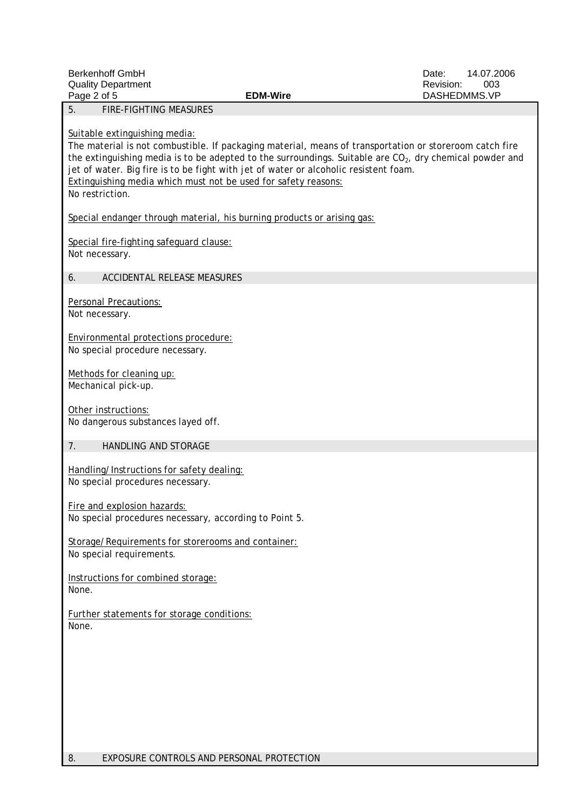| <b>Berkenhoff GmbH</b><br><b>Quality Department</b><br>Page 2 of 5                                                                                                                                                                                                                                                                                                                                                                  | <b>EDM-Wire</b> | 14.07.2006<br>Date:<br>Revision:<br>003<br>DASHEDMMS.VP |
|-------------------------------------------------------------------------------------------------------------------------------------------------------------------------------------------------------------------------------------------------------------------------------------------------------------------------------------------------------------------------------------------------------------------------------------|-----------------|---------------------------------------------------------|
| <b>FIRE-FIGHTING MEASURES</b><br>5.                                                                                                                                                                                                                                                                                                                                                                                                 |                 |                                                         |
| Suitable extinguishing media:<br>The material is not combustible. If packaging material, means of transportation or storeroom catch fire<br>the extinguishing media is to be adepted to the surroundings. Suitable are $CO2$ , dry chemical powder and<br>jet of water. Big fire is to be fight with jet of water or alcoholic resistent foam.<br>Extinguishing media which must not be used for safety reasons:<br>No restriction. |                 |                                                         |
| Special endanger through material, his burning products or arising gas:                                                                                                                                                                                                                                                                                                                                                             |                 |                                                         |
| Special fire-fighting safeguard clause:<br>Not necessary.                                                                                                                                                                                                                                                                                                                                                                           |                 |                                                         |
| ACCIDENTAL RELEASE MEASURES<br>6.                                                                                                                                                                                                                                                                                                                                                                                                   |                 |                                                         |
| <b>Personal Precautions:</b><br>Not necessary.                                                                                                                                                                                                                                                                                                                                                                                      |                 |                                                         |
| Environmental protections procedure:<br>No special procedure necessary.                                                                                                                                                                                                                                                                                                                                                             |                 |                                                         |
| Methods for cleaning up:<br>Mechanical pick-up.                                                                                                                                                                                                                                                                                                                                                                                     |                 |                                                         |
| Other instructions:<br>No dangerous substances layed off.                                                                                                                                                                                                                                                                                                                                                                           |                 |                                                         |
| 7.<br>HANDLING AND STORAGE                                                                                                                                                                                                                                                                                                                                                                                                          |                 |                                                         |
| Handling/Instructions for safety dealing:<br>No special procedures necessary.                                                                                                                                                                                                                                                                                                                                                       |                 |                                                         |
| Fire and explosion hazards:<br>No special procedures necessary, according to Point 5.                                                                                                                                                                                                                                                                                                                                               |                 |                                                         |
| Storage/Requirements for storerooms and container:<br>No special requirements.                                                                                                                                                                                                                                                                                                                                                      |                 |                                                         |
| Instructions for combined storage:<br>None.                                                                                                                                                                                                                                                                                                                                                                                         |                 |                                                         |
| Further statements for storage conditions:<br>None.                                                                                                                                                                                                                                                                                                                                                                                 |                 |                                                         |
|                                                                                                                                                                                                                                                                                                                                                                                                                                     |                 |                                                         |
|                                                                                                                                                                                                                                                                                                                                                                                                                                     |                 |                                                         |
|                                                                                                                                                                                                                                                                                                                                                                                                                                     |                 |                                                         |
|                                                                                                                                                                                                                                                                                                                                                                                                                                     |                 |                                                         |
|                                                                                                                                                                                                                                                                                                                                                                                                                                     |                 |                                                         |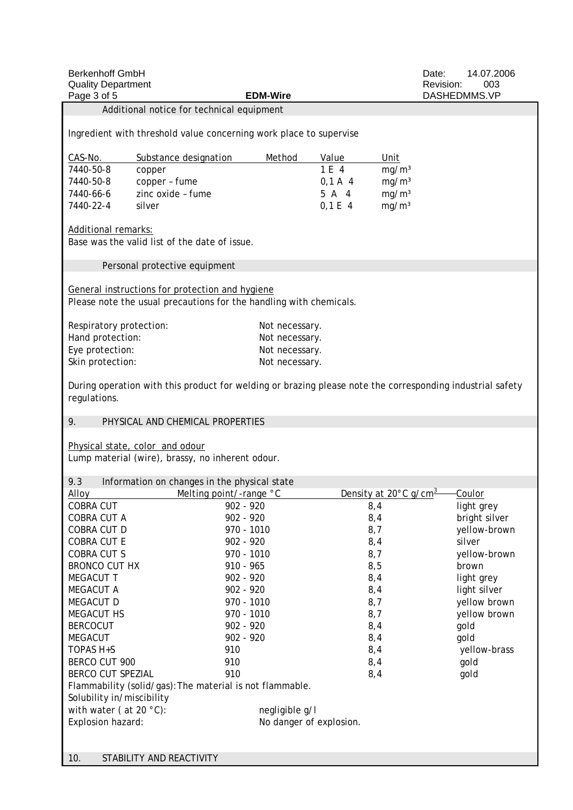| <b>Berkenhoff GmbH</b><br><b>Quality Department</b><br>Page 3 of 5                                                        |                                                  | <b>EDM-Wire</b>                                                    |                                   | Date:<br>Revision: | 14.07.2006<br>003<br>DASHEDMMS.VP |
|---------------------------------------------------------------------------------------------------------------------------|--------------------------------------------------|--------------------------------------------------------------------|-----------------------------------|--------------------|-----------------------------------|
|                                                                                                                           | Additional notice for technical equipment        |                                                                    |                                   |                    |                                   |
|                                                                                                                           |                                                  |                                                                    |                                   |                    |                                   |
|                                                                                                                           |                                                  | Ingredient with threshold value concerning work place to supervise |                                   |                    |                                   |
| CAS-No.                                                                                                                   | Substance designation                            | Method                                                             | Value                             | Unit               |                                   |
| 7440-50-8                                                                                                                 | copper                                           |                                                                    | 1 E 4                             | mg/m <sup>3</sup>  |                                   |
| 7440-50-8                                                                                                                 | copper - fume                                    |                                                                    | $0,1 A$ 4                         | mg/m <sup>3</sup>  |                                   |
| 7440-66-6                                                                                                                 | zinc oxide - fume                                |                                                                    | 5 A 4                             | mg/m <sup>3</sup>  |                                   |
| 7440-22-4                                                                                                                 | silver                                           |                                                                    | $0,1 \,E \,4$                     | mg/m <sup>3</sup>  |                                   |
| <b>Additional remarks:</b>                                                                                                | Base was the valid list of the date of issue.    |                                                                    |                                   |                    |                                   |
|                                                                                                                           | Personal protective equipment                    |                                                                    |                                   |                    |                                   |
| General instructions for protection and hygiene<br>Please note the usual precautions for the handling with chemicals.     |                                                  |                                                                    |                                   |                    |                                   |
| Respiratory protection:                                                                                                   |                                                  | Not necessary.                                                     |                                   |                    |                                   |
| Hand protection:                                                                                                          |                                                  | Not necessary.                                                     |                                   |                    |                                   |
| Eye protection:                                                                                                           |                                                  | Not necessary.                                                     |                                   |                    |                                   |
| Skin protection:                                                                                                          |                                                  | Not necessary.                                                     |                                   |                    |                                   |
|                                                                                                                           |                                                  |                                                                    |                                   |                    |                                   |
| During operation with this product for welding or brazing please note the corresponding industrial safety<br>regulations. |                                                  |                                                                    |                                   |                    |                                   |
| 9.                                                                                                                        | PHYSICAL AND CHEMICAL PROPERTIES                 |                                                                    |                                   |                    |                                   |
|                                                                                                                           |                                                  |                                                                    |                                   |                    |                                   |
|                                                                                                                           | Physical state, color and odour                  |                                                                    |                                   |                    |                                   |
|                                                                                                                           | Lump material (wire), brassy, no inherent odour. |                                                                    |                                   |                    |                                   |
| 9.3                                                                                                                       |                                                  |                                                                    |                                   |                    |                                   |
| <b>Alloy</b>                                                                                                              | Information on changes in the physical state     |                                                                    | Density at 20°C g/cm <sup>3</sup> |                    |                                   |
| COBRA CUT                                                                                                                 | Melting point/-range °C                          | 902 - 920                                                          | 8,4                               |                    | <b>Coulor</b>                     |
| COBRA CUT A                                                                                                               |                                                  | 902 - 920                                                          | 8,4                               |                    | light grey<br>bright silver       |
| COBRA CUT D                                                                                                               |                                                  | 970 - 1010                                                         | 8,7                               |                    | yellow-brown                      |
| <b>COBRA CUT E</b>                                                                                                        |                                                  | $902 - 920$                                                        | 8,4                               |                    | silver                            |
| <b>COBRA CUT S</b>                                                                                                        |                                                  | 970 - 1010                                                         | 8,7                               |                    | yellow-brown                      |
| <b>BRONCO CUT HX</b>                                                                                                      |                                                  | $910 - 965$                                                        | 8,5                               |                    | brown                             |
| <b>MEGACUT T</b>                                                                                                          |                                                  | 902 - 920                                                          | 8,4                               |                    | light grey                        |
| <b>MEGACUT A</b>                                                                                                          |                                                  | $902 - 920$                                                        | 8,4                               |                    | light silver                      |
| <b>MEGACUT D</b>                                                                                                          |                                                  | 970 - 1010                                                         | 8,7                               |                    | yellow brown                      |
| <b>MEGACUT HS</b>                                                                                                         |                                                  | 970 - 1010                                                         | 8,7                               |                    | yellow brown                      |
| <b>BERCOCUT</b>                                                                                                           |                                                  | $902 - 920$                                                        | 8,4                               |                    | gold                              |
| <b>MEGACUT</b>                                                                                                            |                                                  | $902 - 920$                                                        | 8,4                               |                    | gold                              |
| TOPAS H+S                                                                                                                 |                                                  | 910                                                                | 8,4                               |                    | yellow-brass                      |
| BERCO CUT 900                                                                                                             |                                                  | 910                                                                | 8,4                               |                    | gold                              |
| <b>BERCO CUT SPEZIAL</b>                                                                                                  |                                                  | 910                                                                | 8,4                               |                    | gold                              |
| Flammability (solid/gas): The material is not flammable.                                                                  |                                                  |                                                                    |                                   |                    |                                   |
| Solubility in/miscibility                                                                                                 |                                                  |                                                                    |                                   |                    |                                   |
| with water (at 20 $^{\circ}$ C):                                                                                          |                                                  | negligible g/l                                                     |                                   |                    |                                   |
| Explosion hazard:                                                                                                         |                                                  | No danger of explosion.                                            |                                   |                    |                                   |
|                                                                                                                           |                                                  |                                                                    |                                   |                    |                                   |
|                                                                                                                           |                                                  |                                                                    |                                   |                    |                                   |
| 10.                                                                                                                       | STABILITY AND REACTIVITY                         |                                                                    |                                   |                    |                                   |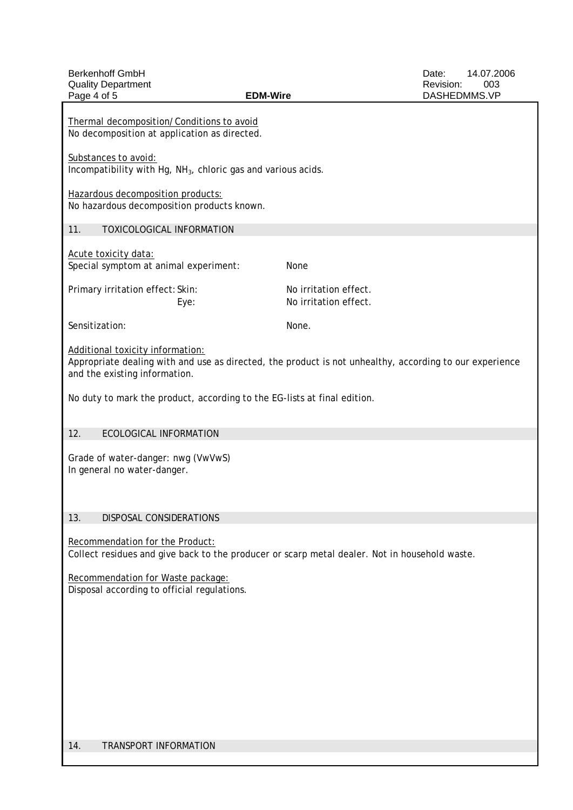| <b>Berkenhoff GmbH</b><br><b>Quality Department</b><br>Page 4 of 5<br><b>EDM-Wire</b>                                                                                        |                                                | Date:<br>Revision:<br>DASHEDMMS.VP | 14.07.2006<br>003 |
|------------------------------------------------------------------------------------------------------------------------------------------------------------------------------|------------------------------------------------|------------------------------------|-------------------|
| Thermal decomposition/Conditions to avoid<br>No decomposition at application as directed.                                                                                    |                                                |                                    |                   |
| Substances to avoid:<br>Incompatibility with Hg, $NH3$ , chloric gas and various acids.                                                                                      |                                                |                                    |                   |
| Hazardous decomposition products:<br>No hazardous decomposition products known.                                                                                              |                                                |                                    |                   |
| TOXICOLOGICAL INFORMATION<br>11.                                                                                                                                             |                                                |                                    |                   |
| Acute toxicity data:<br>Special symptom at animal experiment:                                                                                                                | None                                           |                                    |                   |
| Primary irritation effect: Skin:<br>Eye:                                                                                                                                     | No irritation effect.<br>No irritation effect. |                                    |                   |
| Sensitization:                                                                                                                                                               | None.                                          |                                    |                   |
| Additional toxicity information:<br>Appropriate dealing with and use as directed, the product is not unhealthy, according to our experience<br>and the existing information. |                                                |                                    |                   |
| No duty to mark the product, according to the EG-lists at final edition.                                                                                                     |                                                |                                    |                   |
| 12.<br>ECOLOGICAL INFORMATION                                                                                                                                                |                                                |                                    |                   |
| Grade of water-danger: nwg (VwVwS)<br>In general no water-danger.                                                                                                            |                                                |                                    |                   |
| 13.<br>DISPOSAL CONSIDERATIONS                                                                                                                                               |                                                |                                    |                   |
| Recommendation for the Product:<br>Collect residues and give back to the producer or scarp metal dealer. Not in household waste.                                             |                                                |                                    |                   |
| Recommendation for Waste package:<br>Disposal according to official regulations.                                                                                             |                                                |                                    |                   |
|                                                                                                                                                                              |                                                |                                    |                   |
|                                                                                                                                                                              |                                                |                                    |                   |
|                                                                                                                                                                              |                                                |                                    |                   |
|                                                                                                                                                                              |                                                |                                    |                   |
| 14.<br>TRANSPORT INFORMATION                                                                                                                                                 |                                                |                                    |                   |